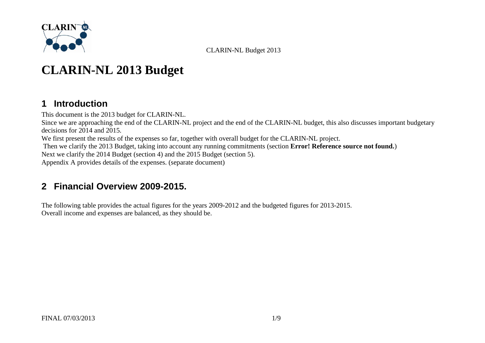

# **CLARIN-NL 2013 Budget**

### **1 Introduction**

This document is the 2013 budget for CLARIN-NL. Since we are approaching the end of the CLARIN-NL project and the end of the CLARIN-NL budget, this also discusses important budgetary decisions for 2014 and 2015. We first present the results of the expenses so far, together with overall budget for the CLARIN-NL project. Then we clarify the 2013 Budget, taking into account any running commitments (section **Error! Reference source not found.**) Next we clarify the 2014 Budget (section [4\)](#page-5-0) and the 2015 Budget (section [5\)](#page-7-0). [Appendix A](#page-8-0) provides details of the expenses. (separate document)

### **2 Financial Overview 2009-2015.**

The following table provides the actual figures for the years 2009-2012 and the budgeted figures for 2013-2015. Overall income and expenses are balanced, as they should be.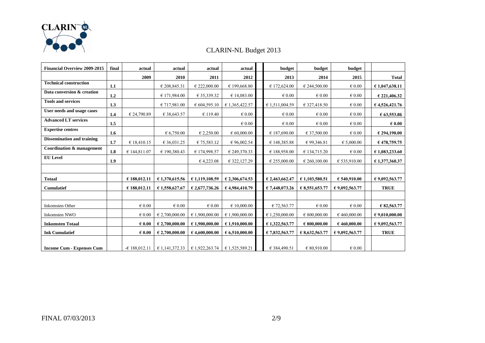

| <b>Financial Overview 2009-2015</b> | final | actual          | actual          | actual          | actual          | budget          | budget          | budget          |                         |
|-------------------------------------|-------|-----------------|-----------------|-----------------|-----------------|-----------------|-----------------|-----------------|-------------------------|
|                                     |       | 2009            | 2010            | 2011            | 2012            | 2013            | 2014            | 2015            | <b>Total</b>            |
| <b>Technical construction</b>       | 1.1   |                 | € 208,845.31    | € 222,000.00    | € 199,668.80    | € 172,624.00    | € 244,500.00    | $\epsilon$ 0.00 | €1,047,638.11           |
| Data conversion & creation          | 1.2   |                 | € 171,984.00    | € 35,339.32     | € 14,083.00     | $\epsilon$ 0.00 | $\in 0.00$      | $\epsilon$ 0.00 | € 221,406.32            |
| <b>Tools and services</b>           | 1.3   |                 | € 717,981.00    | € 604,595.10    | € 1,365,422.57  | € 1,511,004.59  | € 327,418.50    | $\epsilon$ 0.00 | 64,526,421.76           |
| User needs and usage cases          | 1.4   | € 24,790.89     | € 38,643.57     | € 119.40        | $\epsilon$ 0.00 | $\epsilon$ 0.00 | $\in 0.00$      | $\epsilon$ 0.00 | 63,553.86               |
| <b>Advanced LT services</b>         | 1.5   |                 |                 |                 | $\in 0.00$      | $\epsilon$ 0.00 | $\epsilon$ 0.00 | $\epsilon$ 0.00 | $\epsilon$ 0.00         |
| <b>Expertise centres</b>            | 1.6   |                 | 6,750.00        | € 2,250.00      | € 60,000.00     | € 187,690.00    | € 37,500.00     | $\epsilon$ 0.00 | € 294,190.00            |
| <b>Dissemination and training</b>   | 1.7   | € 18,410.15     | € 36,031.25     | € 75,583.12     | € 96,002.54     | € 148,385.88    | € 99,346.81     | € 5,000.00      | €478,759.75             |
| Coordination & management           | 1.8   | € 144,811.07    | €190,380.43     | € 174,998.57    | € 249,370.33    | € 188,958.00    | € 134,715.20    | $\epsilon$ 0.00 | €1,083,233.60           |
| <b>EU</b> Level                     | 1.9   |                 |                 | €4,223.08       | € 322,127.29    | € 255,000.00    | € 260,100.00    | € 535,910.00    | €1,377,360.37           |
|                                     |       |                 |                 |                 |                 |                 |                 |                 |                         |
| <b>Totaal</b>                       |       | € 188,012.11    | € 1,370,615.56  | € 1,119,108.59  | € 2,306,674.53  | € 2,463,662.47  | €1,103,580.51   | € 540,910.00    | € 9,092,563.77          |
| <b>Cumulatief</b>                   |       | € 188,012.11    | € 1,558,627.67  | € 2,677,736.26  | € 4,984,410.79  | € 7,448,073.26  | € 8,551,653.77  | € 9,092,563.77  | <b>TRUE</b>             |
|                                     |       |                 |                 |                 |                 |                 |                 |                 |                         |
| <b>Inkomsten Other</b>              |       | $\epsilon$ 0.00 | $\epsilon$ 0.00 | $\epsilon$ 0.00 | € 10,000.00     | € 72,563.77     | $\epsilon$ 0.00 | $\epsilon$ 0.00 | € 82,563.77             |
| <b>Inkomsten NWO</b>                |       | $\epsilon$ 0.00 | € 2,700,000.00  | € 1,900,000.00  | € 1,900,000.00  | € 1,250,000.00  | € 800,000.00    | €460,000.00     | $\epsilon$ 9,010,000.00 |
| <b>Inkomsten Totaal</b>             |       | $\epsilon$ 0.00 | € 2,700,000.00  | €1,900,000.00   | €1.910.000.00   | € 1,322,563.77  | 6800,000.00     | €460,000.00     | € 9,092,563.77          |
| <b>Ink Cumulatief</b>               |       | $\epsilon$ 0.00 | € 2,700,000.00  | €4,600,000.00   | € 6,510,000.00  | € 7,832,563.77  | € 8,632,563.77  | € 9,092,563.77  | <b>TRUE</b>             |
| <b>Income Cum - Expenses Cum</b>    |       | $-£$ 188,012.11 | € 1,141,372.33  | € 1,922,263.74  | € 1,525,589.21  | € 384,490.51    | € 80,910.00     | $\epsilon$ 0.00 |                         |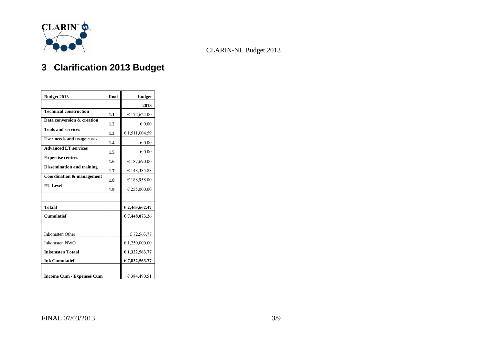

## **3 Clarification 2013 Budget**

| Budget 2013                          | final | budget           |  |  |  |
|--------------------------------------|-------|------------------|--|--|--|
|                                      |       | 2013             |  |  |  |
| <b>Technical construction</b>        | 1.1   | € 172,624.00     |  |  |  |
| Data conversion & creation           | 1.2   | $\epsilon$ 0.00  |  |  |  |
| <b>Tools and services</b>            | 1.3   | € 1,511,004.59   |  |  |  |
| User needs and usage cases           | 1.4   | $\in 0.00$       |  |  |  |
| <b>Advanced LT services</b>          | 1.5   | $\epsilon$ 0.00  |  |  |  |
| <b>Expertise centres</b>             | 1.6   | € 187,690.00     |  |  |  |
| <b>Dissemination and training</b>    | 1.7   | € 148,385.88     |  |  |  |
| <b>Coordination &amp; management</b> | 1.8   | € 188,958.00     |  |  |  |
| <b>EU</b> Level                      | 1.9   | € 255,000.00     |  |  |  |
|                                      |       |                  |  |  |  |
| <b>Totaal</b>                        |       | $E$ 2,463,662.47 |  |  |  |
| <b>Cumulatief</b>                    |       | € 7,448,073.26   |  |  |  |
|                                      |       |                  |  |  |  |
| <b>Inkomsten Other</b>               |       | € 72,563.77      |  |  |  |
| <b>Inkomsten NWO</b>                 |       | € 1,250,000.00   |  |  |  |
| <b>Inkomsten Totaal</b>              |       | €1,322,563.77    |  |  |  |
| <b>Ink Cumulatief</b>                |       | $E$ 7,832,563.77 |  |  |  |
|                                      |       |                  |  |  |  |
| <b>Income Cum - Expenses Cum</b>     |       | € 384,490.51     |  |  |  |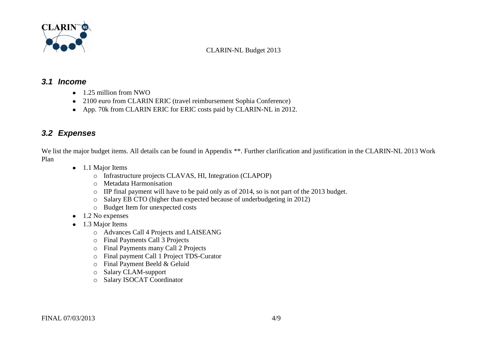

#### *3.1 Income*

- 1.25 million from NWO
- 2100 euro from CLARIN ERIC (travel reimbursement Sophia Conference)
- App. 70k from CLARIN ERIC for ERIC costs paid by CLARIN-NL in 2012.

### *3.2 Expenses*

We list the major budget items. All details can be found in Appendix \*\*. Further clarification and justification in the CLARIN-NL 2013 Work Plan

- 1.1 Major Items
	- o Infrastructure projects CLAVAS, HI, Integration (CLAPOP)
	- o Metadata Harmonisation
	- o IIP final payment will have to be paid only as of 2014, so is not part of the 2013 budget.
	- o Salary EB CTO (higher than expected because of underbudgeting in 2012)
	- o Budget Item for unexpected costs
- $\bullet$  1.2 No expenses
- 1.3 Major Items
	- o Advances Call 4 Projects and LAISEANG
	- o Final Payments Call 3 Projects
	- o Final Payments many Call 2 Projects
	- o Final payment Call 1 Project TDS-Curator
	- o Final Payment Beeld & Geluid
	- o Salary CLAM-support
	- o Salary ISOCAT Coordinator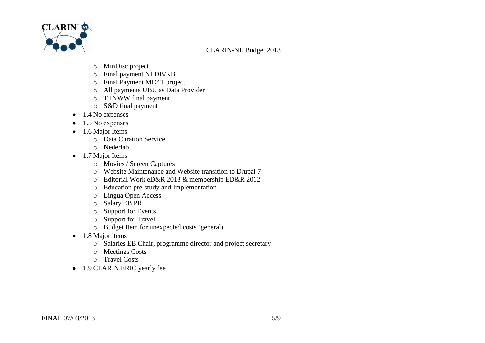

- o MinDisc project
- o Final payment NLDB/KB
- o Final Payment MD4T project
- o All payments UBU as Data Provider
- o TTNWW final payment
- o S&D final payment
- $\bullet$  1.4 No expenses
- $\bullet$  1.5 No expenses
- 1.6 Major Items
	- o Data Curation Service
	- o Nederlab
- 1.7 Major Items
	- o Movies / Screen Captures
	- o Website Maintenance and Website transition to Drupal 7
	- o Editorial Work eD&R 2013 & membership ED&R 2012
	- o Education pre-study and Implementation
	- o Lingua Open Access
	- o Salary EB PR
	- o Support for Events
	- o Support for Travel
	- o Budget Item for unexpected costs (general)
- 1.8 Major items
	- o Salaries EB Chair, programme director and project secretary
	- o Meetings Costs
	- o Travel Costs
- 1.9 CLARIN ERIC yearly fee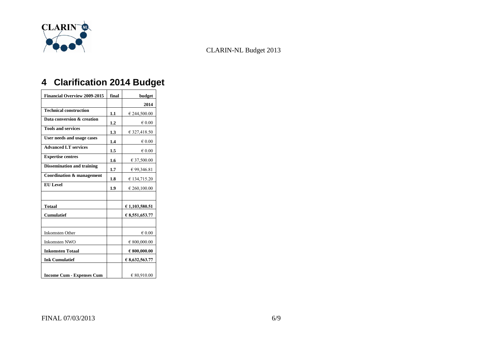

## <span id="page-5-0"></span>**4 Clarification 2014 Budget**

| <b>Financial Overview 2009-2015</b> | final | budget                |
|-------------------------------------|-------|-----------------------|
|                                     |       | 2014                  |
| <b>Technical construction</b>       | 1.1   | € 244,500.00          |
| Data conversion & creation          | 1.2   | $\epsilon$ 0.00       |
| <b>Tools and services</b>           | 1.3   | € 327,418.50          |
| User needs and usage cases          | 1.4   | $\epsilon$ 0.00       |
| <b>Advanced LT services</b>         | 1.5   | $\epsilon$ 0.00       |
| <b>Expertise centres</b>            | 1.6   | € 37,500.00           |
| <b>Dissemination and training</b>   | 1.7   | € 99,346.81           |
| Coordination & management           | 1.8   | € 134,715.20          |
| <b>EU</b> Level                     | 1.9   | € 260,100.00          |
|                                     |       |                       |
| <b>Totaal</b>                       |       | € 1,103,580.51        |
| <b>Cumulatief</b>                   |       | € 8,551,653.77        |
|                                     |       |                       |
| <b>Inkomsten Other</b>              |       | $\epsilon$ 0.00       |
| <b>Inkomsten NWO</b>                |       | € 800,000.00          |
| <b>Inkomsten Totaal</b>             |       | $\epsilon$ 800,000.00 |
| <b>Ink Cumulatief</b>               |       | € 8,632,563.77        |
| <b>Income Cum - Expenses Cum</b>    |       | € 80,910.00           |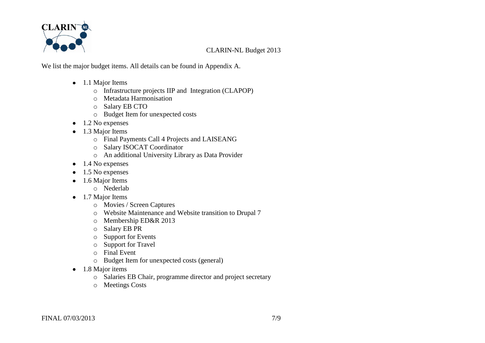

We list the major budget items. All details can be found in [Appendix A.](#page-8-0)

- 1.1 Major Items
	- o Infrastructure projects IIP and Integration (CLAPOP)
	- o Metadata Harmonisation
	- o Salary EB CTO
	- o Budget Item for unexpected costs
- $\bullet$  1.2 No expenses
- 1.3 Major Items
	- o Final Payments Call 4 Projects and LAISEANG
	- o Salary ISOCAT Coordinator
	- o An additional University Library as Data Provider
- $\bullet$  1.4 No expenses
- $\bullet$  1.5 No expenses
- 1.6 Major Items
	- o Nederlab
- 1.7 Major Items
	- o Movies / Screen Captures
	- o Website Maintenance and Website transition to Drupal 7
	- o Membership ED&R 2013
	- o Salary EB PR
	- o Support for Events
	- o Support for Travel
	- o Final Event
	- o Budget Item for unexpected costs (general)
- 1.8 Major items
	- o Salaries EB Chair, programme director and project secretary
	- o Meetings Costs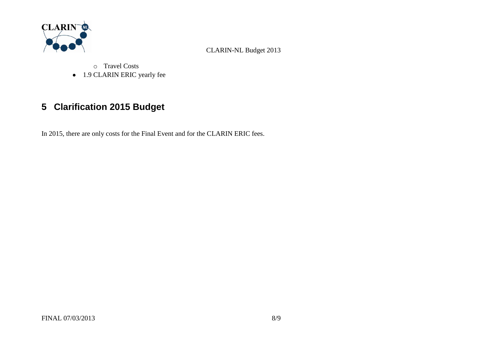

o Travel Costs • 1.9 CLARIN ERIC yearly fee

## <span id="page-7-0"></span>**5 Clarification 2015 Budget**

In 2015, there are only costs for the Final Event and for the CLARIN ERIC fees.